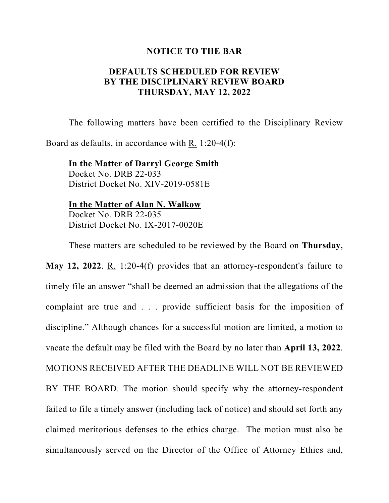## **NOTICE TO THE BAR**

## **DEFAULTS SCHEDULED FOR REVIEW BY THE DISCIPLINARY REVIEW BOARD THURSDAY, MAY 12, 2022**

The following matters have been certified to the Disciplinary Review

Board as defaults, in accordance with R. 1:20-4(f):

**In the Matter of Darryl George Smith** Docket No. DRB 22-033 District Docket No. XIV-2019-0581E

**In the Matter of Alan N. Walkow** Docket No. DRB 22-035

District Docket No. IX-2017-0020E

These matters are scheduled to be reviewed by the Board on **Thursday,**

**May 12, 2022**. R. 1:20-4(f) provides that an attorney-respondent's failure to timely file an answer "shall be deemed an admission that the allegations of the complaint are true and . . . provide sufficient basis for the imposition of discipline." Although chances for a successful motion are limited, a motion to vacate the default may be filed with the Board by no later than **April 13, 2022**. MOTIONS RECEIVED AFTER THE DEADLINE WILL NOT BE REVIEWED BY THE BOARD. The motion should specify why the attorney-respondent failed to file a timely answer (including lack of notice) and should set forth any claimed meritorious defenses to the ethics charge. The motion must also be simultaneously served on the Director of the Office of Attorney Ethics and,